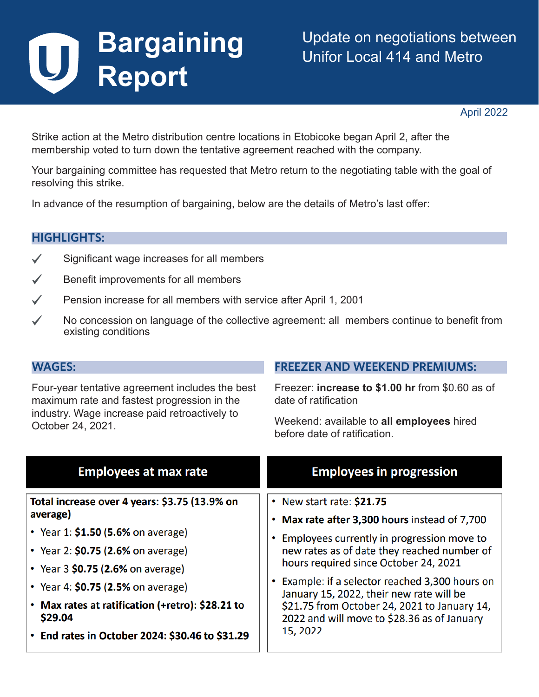# **Bargaining**  U **Report**

April 2022

Strike action at the Metro distribution centre locations in Etobicoke began April 2, after the membership voted to turn down the tentative agreement reached with the company.

Your bargaining committee has requested that Metro return to the negotiating table with the goal of resolving this strike.

In advance of the resumption of bargaining, below are the details of Metro's last offer:

## **HIGHLIGHTS:**

- $\checkmark$  Significant wage increases for all members
- $\checkmark$  Benefit improvements for all members
- $\checkmark$  Pension increase for all members with service after April 1, 2001
- $\checkmark$  No concession on language of the collective agreement: all members continue to benefit from existing conditions

#### **WAGES:**

Four-year tentative agreement includes the best maximum rate and fastest progression in the industry. Wage increase paid retroactively to October 24, 2021.

# **FREEZER AND WEEKEND PREMIUMS:**

Freezer: **increase to \$1.00 hr** from \$0.60 as of date of ratification

Weekend: available to **all employees** hired before date of ratification.

| <b>Employees at max rate</b>                                                                                                                                                                                                                                                                                                          | <b>Employees in progression</b>                                                                                                                                                                                                                                                                                                                                                                                              |
|---------------------------------------------------------------------------------------------------------------------------------------------------------------------------------------------------------------------------------------------------------------------------------------------------------------------------------------|------------------------------------------------------------------------------------------------------------------------------------------------------------------------------------------------------------------------------------------------------------------------------------------------------------------------------------------------------------------------------------------------------------------------------|
| Total increase over 4 years: \$3.75 (13.9% on<br>average)<br>• Year 1: \$1.50 (5.6% on average)<br>• Year 2: $$0.75$ (2.6% on average)<br>• Year 3 $$0.75$ (2.6% on average)<br>• Year 4: $$0.75$ (2.5% on average)<br>• Max rates at ratification (+retro): \$28.21 to<br>\$29.04<br>• End rates in October 2024: \$30.46 to \$31.29 | • New start rate: \$21.75<br>• Max rate after 3,300 hours instead of 7,700<br>• Employees currently in progression move to<br>new rates as of date they reached number of<br>hours required since October 24, 2021<br>• Example: if a selector reached 3,300 hours on<br>January 15, 2022, their new rate will be<br>\$21.75 from October 24, 2021 to January 14,<br>2022 and will move to \$28.36 as of January<br>15, 2022 |
|                                                                                                                                                                                                                                                                                                                                       |                                                                                                                                                                                                                                                                                                                                                                                                                              |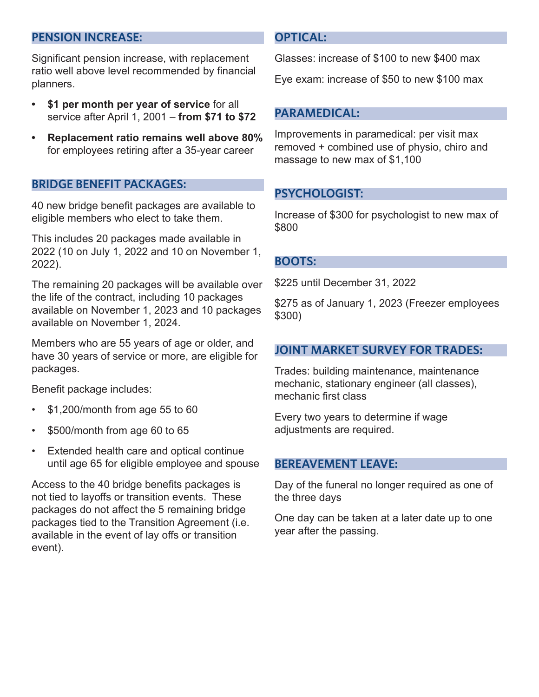# **PENSION INCREASE:**

Significant pension increase, with replacement ratio well above level recommended by financial planners.

- **• \$1 per month per year of service** for all service after April 1, 2001 – **from \$71 to \$72**
- **• Replacement ratio remains well above 80%**  for employees retiring after a 35-year career

#### **BRIDGE BENEFIT PACKAGES:**

40 new bridge benefit packages are available to eligible members who elect to take them.

This includes 20 packages made available in 2022 (10 on July 1, 2022 and 10 on November 1, 2022).

The remaining 20 packages will be available over the life of the contract, including 10 packages available on November 1, 2023 and 10 packages available on November 1, 2024.

Members who are 55 years of age or older, and have 30 years of service or more, are eligible for packages.

Benefit package includes:

- \$1,200/month from age 55 to 60
- \$500/month from age 60 to 65
- Extended health care and optical continue until age 65 for eligible employee and spouse

Access to the 40 bridge benefits packages is not tied to layoffs or transition events. These packages do not affect the 5 remaining bridge packages tied to the Transition Agreement (i.e. available in the event of lay offs or transition event).

#### **OPTICAL:**

Glasses: increase of \$100 to new \$400 max

Eye exam: increase of \$50 to new \$100 max

#### **PARAMEDICAL:**

Improvements in paramedical: per visit max removed + combined use of physio, chiro and massage to new max of \$1,100

## **PSYCHOLOGIST:**

Increase of \$300 for psychologist to new max of \$800

#### **BOOTS:**

\$225 until December 31, 2022

\$275 as of January 1, 2023 (Freezer employees \$300)

#### **JOINT MARKET SURVEY FOR TRADES:**

Trades: building maintenance, maintenance mechanic, stationary engineer (all classes), mechanic first class

Every two years to determine if wage adjustments are required.

#### **BEREAVEMENT LEAVE:**

Day of the funeral no longer required as one of the three days

One day can be taken at a later date up to one year after the passing.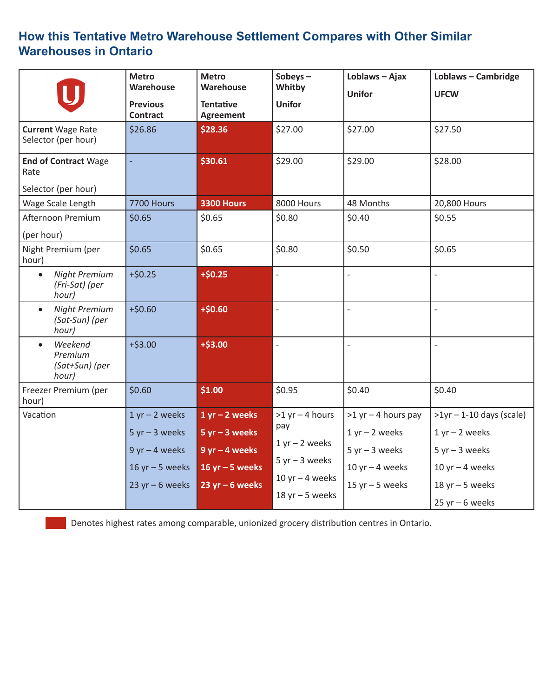# **How this Tentative Metro Warehouse Settlement Compares with Other Similar Warehouses in Ontario**

|                                                              | <b>Metro</b><br>Warehouse<br><b>Previous</b><br><b>Contract</b>                                      | <b>Metro</b><br>Warehouse<br><b>Tentative</b><br>Agreement                                         | Sobeys $-$<br>Whitby<br><b>Unifor</b>                                                                         | Loblaws - Ajax<br><b>Unifor</b>                                                                            | Loblaws - Cambridge<br><b>UFCW</b>                                                                               |
|--------------------------------------------------------------|------------------------------------------------------------------------------------------------------|----------------------------------------------------------------------------------------------------|---------------------------------------------------------------------------------------------------------------|------------------------------------------------------------------------------------------------------------|------------------------------------------------------------------------------------------------------------------|
| <b>Current Wage Rate</b><br>Selector (per hour)              | \$26.86                                                                                              | \$28.36                                                                                            | \$27.00                                                                                                       | \$27.00                                                                                                    | \$27.50                                                                                                          |
| <b>End of Contract Wage</b><br>Rate<br>Selector (per hour)   |                                                                                                      | \$30.61                                                                                            | \$29.00                                                                                                       | \$29.00                                                                                                    | \$28.00                                                                                                          |
| Wage Scale Length                                            | <b>7700 Hours</b>                                                                                    | <b>3300 Hours</b>                                                                                  | 8000 Hours                                                                                                    | 48 Months                                                                                                  | 20,800 Hours                                                                                                     |
| Afternoon Premium<br>(per hour)                              | \$0.65                                                                                               | \$0.65                                                                                             | \$0.80                                                                                                        | \$0.40                                                                                                     | \$0.55                                                                                                           |
| Night Premium (per<br>hour)                                  | \$0.65                                                                                               | \$0.65                                                                                             | \$0.80                                                                                                        | \$0.50                                                                                                     | \$0.65                                                                                                           |
| <b>Night Premium</b><br>$\bullet$<br>(Fri-Sat) (per<br>hour) | $+ $0.25$                                                                                            | $+ $0.25$                                                                                          | $\frac{1}{2}$                                                                                                 | $\overline{a}$                                                                                             | $\overline{\phantom{0}}$                                                                                         |
| <b>Night Premium</b><br>$\bullet$<br>(Sat-Sun) (per<br>hour) | $+ $0.60$                                                                                            | $+$0.60$                                                                                           | $\frac{1}{2}$                                                                                                 | $\overline{a}$                                                                                             | $\overline{a}$                                                                                                   |
| Weekend<br>Premium<br>(Sat+Sun) (per<br>hour)                | $+ $3.00$                                                                                            | $+ $3.00$                                                                                          | $\frac{1}{2}$                                                                                                 | $\overline{a}$                                                                                             |                                                                                                                  |
| Freezer Premium (per<br>hour)                                | \$0.60                                                                                               | \$1.00                                                                                             | \$0.95                                                                                                        | \$0.40                                                                                                     | \$0.40                                                                                                           |
| Vacation                                                     | $1 yr - 2 weeks$<br>$5 yr - 3 weeks$<br>$9$ yr $-$ 4 weeks<br>$16$ yr $-5$ weeks<br>23 yr $-6$ weeks | $1 yr - 2 weeks$<br>$5 yr - 3 weeks$<br>$9$ yr $-$ 4 weeks<br>16 yr $-5$ weeks<br>23 yr $-6$ weeks | $>1$ yr - 4 hours<br>pay<br>$1 yr - 2 weeks$<br>$5 yr - 3 weeks$<br>$10$ yr $-$ 4 weeks<br>$18$ yr $-5$ weeks | $>1$ yr - 4 hours pay<br>$1 yr - 2 weeks$<br>$5 yr - 3 weeks$<br>$10$ yr $-$ 4 weeks<br>$15$ yr $-5$ weeks | $>1$ yr – 1-10 days (scale)<br>$1 yr - 2 weeks$<br>$5 yr - 3 weeks$<br>$10$ yr $-$ 4 weeks<br>$18$ yr $-5$ weeks |
|                                                              |                                                                                                      |                                                                                                    |                                                                                                               |                                                                                                            | $25$ yr - 6 weeks                                                                                                |

Denotes highest rates among comparable, unionized grocery distribution centres in Ontario.